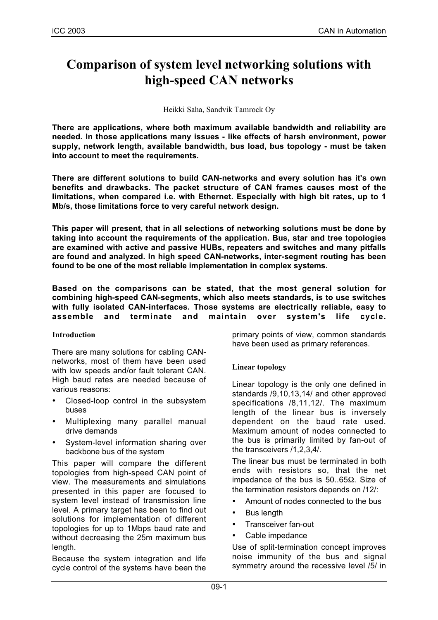# **Comparison of system level networking solutions with high-speed CAN networks**

Heikki Saha, Sandvik Tamrock Oy

**There are applications, where both maximum available bandwidth and reliability are needed. In those applications many issues - like effects of harsh environment, power supply, network length, available bandwidth, bus load, bus topology - must be taken into account to meet the requirements.**

**There are different solutions to build CAN-networks and every solution has it's own benefits and drawbacks. The packet structure of CAN frames causes most of the limitations, when compared i.e. with Ethernet. Especially with high bit rates, up to 1 Mb/s, those limitations force to very careful network design.**

**This paper will present, that in all selections of networking solutions must be done by taking into account the requirements of the application. Bus, star and tree topologies are examined with active and passive HUBs, repeaters and switches and many pitfalls are found and analyzed. In high speed CAN-networks, inter-segment routing has been found to be one of the most reliable implementation in complex systems.**

**Based on the comparisons can be stated, that the most general solution for combining high-speed CAN-segments, which also meets standards, is to use switches with fully isolated CAN-interfaces. Those systems are electrically reliable, easy to assemble and terminate and maintain over system's life cycle.**

#### **Introduction**

There are many solutions for cabling CANnetworks, most of them have been used with low speeds and/or fault tolerant CAN. High baud rates are needed because of various reasons:

- Closed-loop control in the subsystem buses
- Multiplexing many parallel manual drive demands
- System-level information sharing over backbone bus of the system

This paper will compare the different topologies from high-speed CAN point of view. The measurements and simulations presented in this paper are focused to system level instead of transmission line level. A primary target has been to find out solutions for implementation of different topologies for up to 1Mbps baud rate and without decreasing the 25m maximum bus length.

Because the system integration and life cycle control of the systems have been the

primary points of view, common standards have been used as primary references.

## **Linear topology**

Linear topology is the only one defined in standards /9,10,13,14/ and other approved specifications /8,11,12/. The maximum length of the linear bus is inversely dependent on the baud rate used. Maximum amount of nodes connected to the bus is primarily limited by fan-out of the transceivers /1,2,3,4/.

The linear bus must be terminated in both ends with resistors so, that the net impedance of the bus is 50..65Ω. Size of the termination resistors depends on /12/:

- Amount of nodes connected to the bus
- **Bus length**
- Transceiver fan-out
- Cable impedance

Use of split-termination concept improves noise immunity of the bus and signal symmetry around the recessive level /5/ in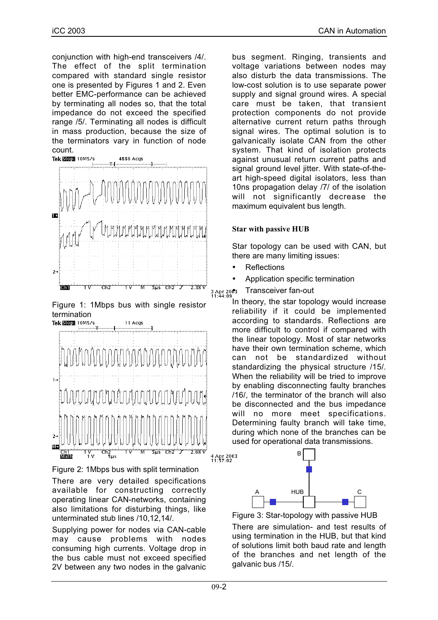conjunction with high-end transceivers /4/. The effect of the split termination compared with standard single resistor one is presented by Figures 1 and 2. Even better EMC-performance can be achieved by terminating all nodes so, that the total impedance do not exceed the specified range /5/. Terminating all nodes is difficult in mass production, because the size of the terminators vary in function of node count.



Figure 1: 1Mbps bus with single resistor termination





There are very detailed specifications available for constructing correctly operating linear CAN-networks, containing also limitations for disturbing things, like unterminated stub lines /10,12,14/.

Supplying power for nodes via CAN-cable may cause problems with nodes consuming high currents. Voltage drop in the bus cable must not exceed specified 2V between any two nodes in the galvanic bus segment. Ringing, transients and voltage variations between nodes may also disturb the data transmissions. The low-cost solution is to use separate power supply and signal ground wires. A special care must be taken, that transient protection components do not provide alternative current return paths through signal wires. The optimal solution is to galvanically isolate CAN from the other system. That kind of isolation protects against unusual return current paths and signal ground level jitter. With state-of-theart high-speed digital isolators, less than 10ns propagation delay /7/ of the isolation will not significantly decrease the maximum equivalent bus length.

#### **Star with passive HUB**

Star topology can be used with CAN, but there are many limiting issues:

- **Reflections**
- Application specific termination
- 3 Apr 2003 Transceiver fan-out

In theory, the star topology would increase reliability if it could be implemented according to standards. Reflections are more difficult to control if compared with the linear topology. Most of star networks have their own termination scheme, which can not be standardized without standardizing the physical structure /15/. When the reliability will be tried to improve by enabling disconnecting faulty branches /16/, the terminator of the branch will also be disconnected and the bus impedance will no more meet specifications. Determining faulty branch will take time, during which none of the branches can be used for operational data transmissions.



Figure 3: Star-topology with passive HUB

There are simulation- and test results of using termination in the HUB, but that kind of solutions limit both baud rate and length of the branches and net length of the galvanic bus /15/.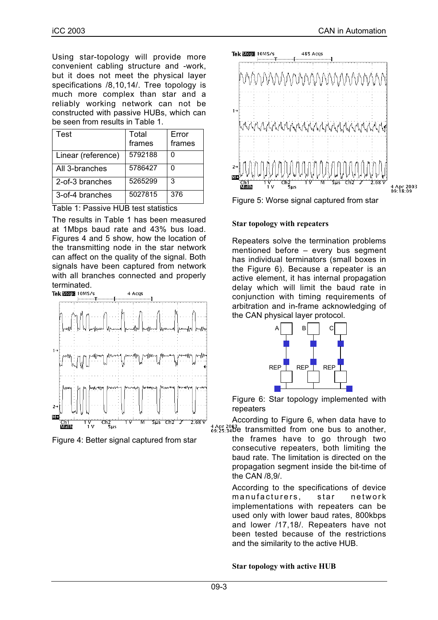Using star-topology will provide more convenient cabling structure and -work, but it does not meet the physical layer specifications /8,10,14/. Tree topology is much more complex than star and a reliably working network can not be constructed with passive HUBs, which can be seen from results in Table 1.

| Test               | Total<br>frames | Error<br>frames |
|--------------------|-----------------|-----------------|
| Linear (reference) | 5792188         |                 |
| All 3-branches     | 5786427         |                 |
| 2-of-3 branches    | 5265299         | 3               |
| 3-of-4 branches    | 5027815         | 376             |

Table 1: Passive HUB test statistics

The results in Table 1 has been measured at 1Mbps baud rate and 43% bus load. Figures 4 and 5 show, how the location of the transmitting node in the star network can affect on the quality of the signal. Both signals have been captured from network with all branches connected and properly terminated.<br>Tekston 10MS/s



Figure 4: Better signal captured from star



Figure 5: Worse signal captured from star

# **Star topology with repeaters**

Repeaters solve the termination problems mentioned before – every bus segment has individual terminators (small boxes in the Figure 6). Because a repeater is an active element, it has internal propagation delay which will limit the baud rate in conjunction with timing requirements of arbitration and in-frame acknowledging of the CAN physical layer protocol.



Figure 6: Star topology implemented with repeaters

According to Figure 6, when data have to  $^{4}$  Apr 2003 e transmitted from one bus to another,

the frames have to go through two consecutive repeaters, both limiting the baud rate. The limitation is directed on the propagation segment inside the bit-time of the CAN /8,9/.

According to the specifications of device manufacturers, star network implementations with repeaters can be used only with lower baud rates, 800kbps and lower /17,18/. Repeaters have not been tested because of the restrictions and the similarity to the active HUB.

## **Star topology with active HUB**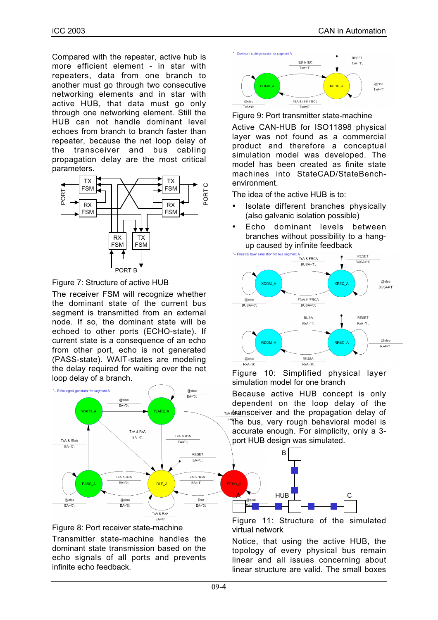Compared with the repeater, active hub is more efficient element - in star with repeaters, data from one branch to another must go through two consecutive networking elements and in star with active HUB, that data must go only through one networking element. Still the HUB can not handle dominant level echoes from branch to branch faster than repeater, because the net loop delay of the transceiver and bus cabling propagation delay are the most critical parameters.



Figure 7: Structure of active HUB

The receiver FSM will recognize whether the dominant state of the current bus segment is transmitted from an external node. If so, the dominant state will be echoed to other ports (ECHO-state). If current state is a consequence of an echo from other port, echo is not generated (PASS-state). WAIT-states are modeling the delay required for waiting over the net loop delay of a branch.





Transmitter state-machine handles the dominant state transmission based on the echo signals of all ports and prevents infinite echo feedback.



Figure 9: Port transmitter state-machine Active CAN-HUB for ISO11898 physical layer was not found as a commercial product and therefore a conceptual simulation model was developed. The model has been created as finite state machines into StateCAD/StateBenchenvironment.

The idea of the active HUB is to:

- Isolate different branches physically (also galvanic isolation possible)
- Echo dominant levels between branches without possibility to a hang-



Figure 10: Simplified physical layer simulation model for one branch

Because active HUB concept is only dependent on the loop delay of the **MA TAA transceiver and the propagation delay of** 

the bus, very rough behavioral model is accurate enough. For simplicity, only a 3 port HUB design was simulated.



Figure 11: Structure of the simulated virtual network

Notice, that using the active HUB, the topology of every physical bus remain linear and all issues concerning about linear structure are valid. The small boxes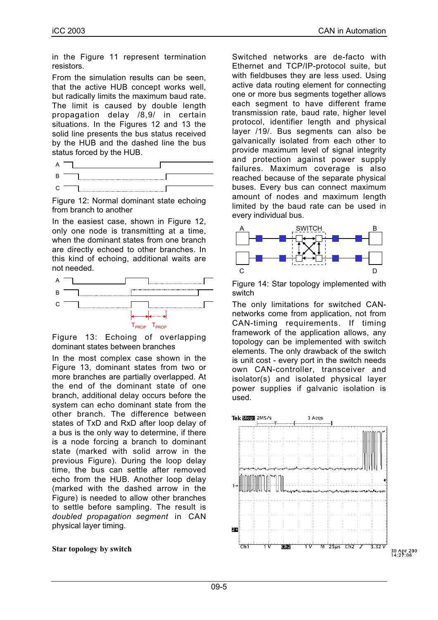in the Figure 11 represent termination resistors.

From the simulation results can be seen, that the active HUB concept works well, but radically limits the maximum baud rate. The limit is caused by double length propagation delay /8,9/ in certain situations. In the Figures 12 and 13 the solid line presents the bus status received by the HUB and the dashed line the bus status forced by the HUB.

Figure 12: Normal dominant state echoing from branch to another

In the easiest case, shown in Figure 12, only one node is transmitting at a time, when the dominant states from one branch are directly echoed to other branches. In this kind of echoing, additional waits are not needed.



Figure 13: Echoing of overlapping dominant states between branches

In the most complex case shown in the Figure 13, dominant states from two or more branches are partially overlapped. At the end of the dominant state of one branch, additional delay occurs before the system can echo dominant state from the other branch. The difference between states of TxD and RxD after loop delay of a bus is the only way to determine, if there is a node forcing a branch to dominant state (marked with solid arrow in the previous Figure). During the loop delay time, the bus can settle after removed echo from the HUB. Another loop delay (marked with the dashed arrow in the Figure) is needed to allow other branches to settle before sampling. The result is *doubled propagation segment* in CAN physical layer timing.

#### **Star topology by switch**

Switched networks are de-facto with Ethernet and TCP/IP-protocol suite, but with fieldbuses they are less used. Using active data routing element for connecting one or more bus segments together allows each segment to have different frame transmission rate, baud rate, higher level protocol, identifier length and physical layer /19/. Bus segments can also be galvanically isolated from each other to provide maximum level of signal integrity and protection against power supply failures. Maximum coverage is also reached because of the separate physical buses. Every bus can connect maximum amount of nodes and maximum length limited by the baud rate can be used in every individual bus.



Figure 14: Star topology implemented with switch

The only limitations for switched CANnetworks come from application, not from CAN-timing requirements. If timing framework of the application allows, any topology can be implemented with switch elements. The only drawback of the switch is unit cost - every port in the switch needs own CAN-controller, transceiver and isolator(s) and isolated physical layer power supplies if galvanic isolation is used.

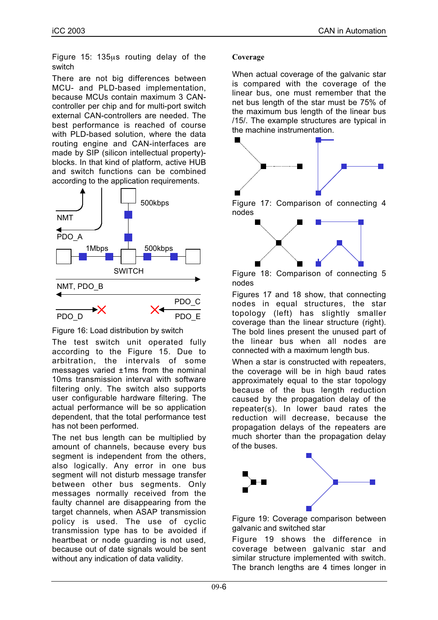Figure 15: 135µs routing delay of the switch

There are not big differences between MCU- and PLD-based implementation, because MCUs contain maximum 3 CANcontroller per chip and for multi-port switch external CAN-controllers are needed. The best performance is reached of course with PLD-based solution, where the data routing engine and CAN-interfaces are made by SIP (silicon intellectual property) blocks. In that kind of platform, active HUB and switch functions can be combined according to the application requirements.



Figure 16: Load distribution by switch

The test switch unit operated fully according to the Figure 15. Due to arbitration, the intervals of some messages varied ±1ms from the nominal 10ms transmission interval with software filtering only. The switch also supports user configurable hardware filtering. The actual performance will be so application dependent, that the total performance test has not been performed.

The net bus length can be multiplied by amount of channels, because every bus segment is independent from the others. also logically. Any error in one bus segment will not disturb message transfer between other bus segments. Only messages normally received from the faulty channel are disappearing from the target channels, when ASAP transmission policy is used. The use of cyclic transmission type has to be avoided if heartbeat or node guarding is not used, because out of date signals would be sent without any indication of data validity.

#### **Coverage**

When actual coverage of the galvanic star is compared with the coverage of the linear bus, one must remember that the net bus length of the star must be 75% of the maximum bus length of the linear bus /15/. The example structures are typical in the machine instrumentation.



Figure 17: Comparison of connecting 4 nodes



Figure 18: Comparison of connecting 5 nodes

Figures 17 and 18 show, that connecting nodes in equal structures, the star topology (left) has slightly smaller coverage than the linear structure (right). The bold lines present the unused part of the linear bus when all nodes are connected with a maximum length bus.

When a star is constructed with repeaters, the coverage will be in high baud rates approximately equal to the star topology because of the bus length reduction caused by the propagation delay of the repeater(s). In lower baud rates the reduction will decrease, because the propagation delays of the repeaters are much shorter than the propagation delay of the buses.





Figure 19 shows the difference in coverage between galvanic star and similar structure implemented with switch. The branch lengths are 4 times longer in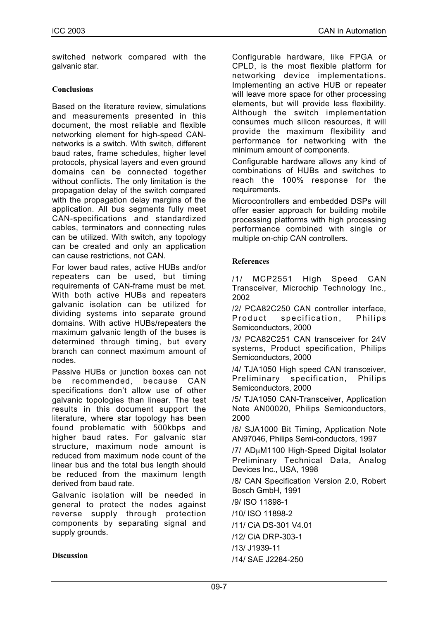switched network compared with the galvanic star.

#### **Conclusions**

Based on the literature review, simulations and measurements presented in this document, the most reliable and flexible networking element for high-speed CANnetworks is a switch. With switch, different baud rates, frame schedules, higher level protocols, physical layers and even ground domains can be connected together without conflicts. The only limitation is the propagation delay of the switch compared with the propagation delay margins of the application. All bus segments fully meet CAN-specifications and standardized cables, terminators and connecting rules can be utilized. With switch, any topology can be created and only an application can cause restrictions, not CAN.

For lower baud rates, active HUBs and/or repeaters can be used, but timing requirements of CAN-frame must be met. With both active HUBs and repeaters galvanic isolation can be utilized for dividing systems into separate ground domains. With active HUBs/repeaters the maximum galvanic length of the buses is determined through timing, but every branch can connect maximum amount of nodes.

Passive HUBs or junction boxes can not be recommended, because CAN specifications don't allow use of other galvanic topologies than linear. The test results in this document support the literature, where star topology has been found problematic with 500kbps and higher baud rates. For galvanic star structure, maximum node amount is reduced from maximum node count of the linear bus and the total bus length should be reduced from the maximum length derived from baud rate.

Galvanic isolation will be needed in general to protect the nodes against reverse supply through protection components by separating signal and supply grounds.

Configurable hardware, like FPGA or CPLD, is the most flexible platform for networking device implementations. Implementing an active HUB or repeater will leave more space for other processing elements, but will provide less flexibility. Although the switch implementation consumes much silicon resources, it will provide the maximum flexibility and performance for networking with the minimum amount of components.

Configurable hardware allows any kind of combinations of HUBs and switches to reach the 100% response for the requirements.

Microcontrollers and embedded DSPs will offer easier approach for building mobile processing platforms with high processing performance combined with single or multiple on-chip CAN controllers.

#### **References**

/1/ MCP2551 High Speed CAN Transceiver, Microchip Technology Inc., 2002

/2/ PCA82C250 CAN controller interface, Product specification, Philips Semiconductors, 2000

/3/ PCA82C251 CAN transceiver for 24V systems, Product specification, Philips Semiconductors, 2000

/4/ TJA1050 High speed CAN transceiver, Preliminary specification, Philips Semiconductors, 2000

/5/ TJA1050 CAN-Transceiver, Application Note AN00020, Philips Semiconductors, 2000

/6/ SJA1000 Bit Timing, Application Note AN97046, Philips Semi-conductors, 1997

/7/ ADµM1100 High-Speed Digital Isolator Preliminary Technical Data, Analog Devices Inc., USA, 1998

/8/ CAN Specification Version 2.0, Robert Bosch GmbH, 1991

/9/ ISO 11898-1

/10/ ISO 11898-2

/11/ CiA DS-301 V4.01

/12/ CiA DRP-303-1

/13/ J1939-11

/14/ SAE J2284-250

#### **Discussion**